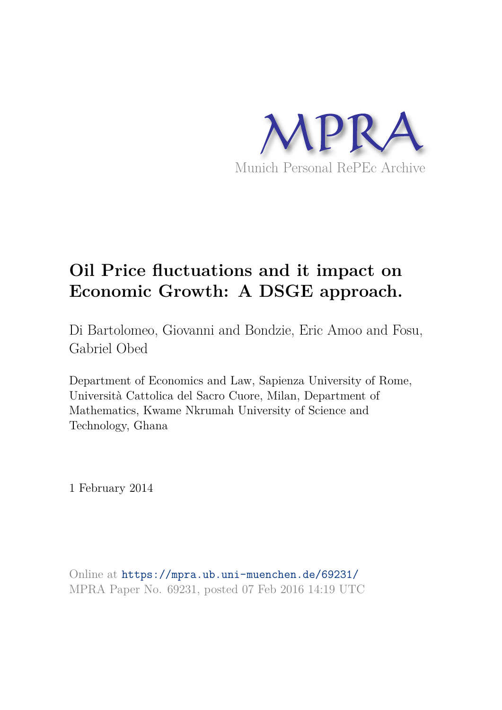

# **Oil Price fluctuations and it impact on Economic Growth: A DSGE approach.**

Di Bartolomeo, Giovanni and Bondzie, Eric Amoo and Fosu, Gabriel Obed

Department of Economics and Law, Sapienza University of Rome, Università Cattolica del Sacro Cuore, Milan, Department of Mathematics, Kwame Nkrumah University of Science and Technology, Ghana

1 February 2014

Online at https://mpra.ub.uni-muenchen.de/69231/ MPRA Paper No. 69231, posted 07 Feb 2016 14:19 UTC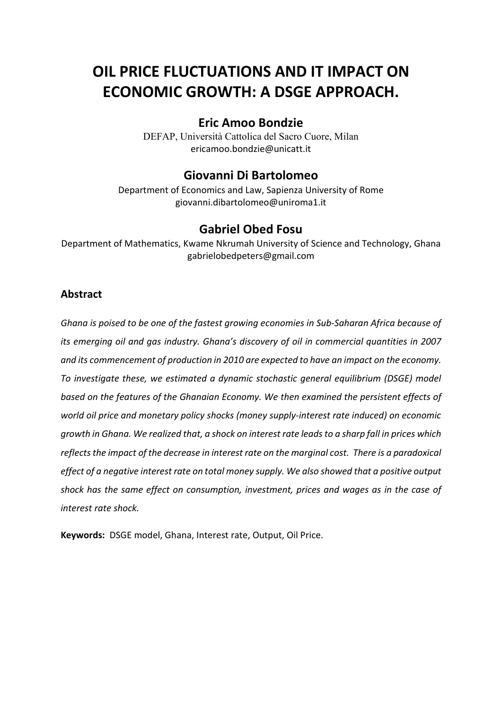# **OIL PRICE FLUCTUATIONS AND IT IMPACT ON ECONOMIC GROWTH: A DSGE APPROACH.**

# **Eric Amoo Bondzie**

DEFAP, Università Cattolica del Sacro Cuore, Milan ericamoo.bondzie@unicatt.it

## **Giovanni Di Bartolomeo**

Department of Economics and Law, Sapienza University of Rome giovanni.dibartolomeo@uniroma1.it

## **Gabriel Obed Fosu**

Department of Mathematics, Kwame Nkrumah University of Science and Technology, Ghana gabrielobedpeters@gmail.com

## **Abstract**

*Ghana is poised to be one of the fastest growing economies in Sub-Saharan Africa because of its emerging oil and gas industry. Ghana's discovery of oil in commercial quantities in 2007 and its commencement of production in 2010 are expected to have an impact on the economy. To investigate these, we estimated a dynamic stochastic general equilibrium (DSGE) model based on the features of the Ghanaian Economy. We then examined the persistent effects of world oil price and monetary policy shocks (money supply-interest rate induced) on economic growth in Ghana. We realized that, a shock on interest rate leads to a sharp fall in prices which reflects the impact of the decrease in interest rate on the marginal cost. There is a paradoxical effect of a negative interest rate on total money supply. We also showed that a positive output shock has the same effect on consumption, investment, prices and wages as in the case of interest rate shock.* 

**Keywords:** DSGE model, Ghana, Interest rate, Output, Oil Price.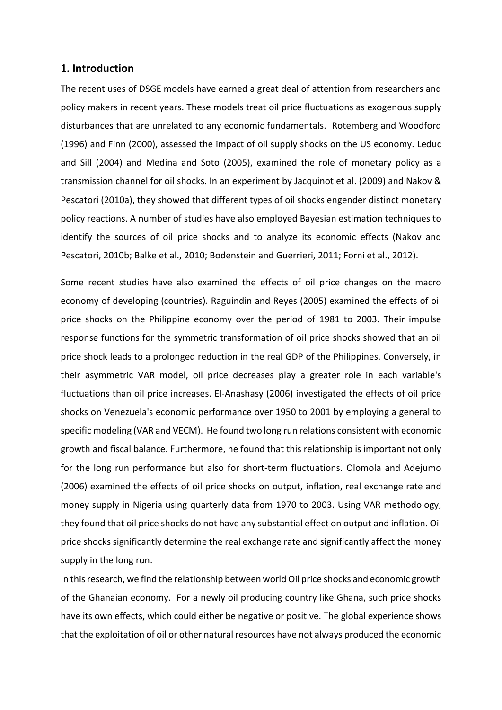#### **1. Introduction**

The recent uses of DSGE models have earned a great deal of attention from researchers and policy makers in recent years. These models treat oil price fluctuations as exogenous supply disturbances that are unrelated to any economic fundamentals. Rotemberg and Woodford (1996) and Finn (2000), assessed the impact of oil supply shocks on the US economy. Leduc and Sill (2004) and Medina and Soto (2005), examined the role of monetary policy as a transmission channel for oil shocks. In an experiment by Jacquinot et al. (2009) and Nakov & Pescatori (2010a), they showed that different types of oil shocks engender distinct monetary policy reactions. A number of studies have also employed Bayesian estimation techniques to identify the sources of oil price shocks and to analyze its economic effects (Nakov and Pescatori, 2010b; Balke et al., 2010; Bodenstein and Guerrieri, 2011; Forni et al., 2012).

Some recent studies have also examined the effects of oil price changes on the macro economy of developing (countries). Raguindin and Reyes (2005) examined the effects of oil price shocks on the Philippine economy over the period of 1981 to 2003. Their impulse response functions for the symmetric transformation of oil price shocks showed that an oil price shock leads to a prolonged reduction in the real GDP of the Philippines. Conversely, in their asymmetric VAR model, oil price decreases play a greater role in each variable's fluctuations than oil price increases. El-Anashasy (2006) investigated the effects of oil price shocks on Venezuela's economic performance over 1950 to 2001 by employing a general to specific modeling (VAR and VECM). He found two long run relations consistent with economic growth and fiscal balance. Furthermore, he found that this relationship is important not only for the long run performance but also for short-term fluctuations. Olomola and Adejumo (2006) examined the effects of oil price shocks on output, inflation, real exchange rate and money supply in Nigeria using quarterly data from 1970 to 2003. Using VAR methodology, they found that oil price shocks do not have any substantial effect on output and inflation. Oil price shocks significantly determine the real exchange rate and significantly affect the money supply in the long run.

In this research, we find the relationship between world Oil price shocks and economic growth of the Ghanaian economy. For a newly oil producing country like Ghana, such price shocks have its own effects, which could either be negative or positive. The global experience shows that the exploitation of oil or other natural resources have not always produced the economic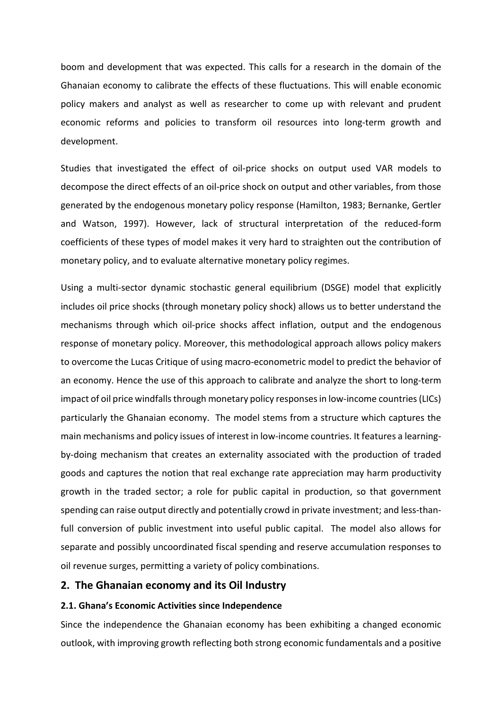boom and development that was expected. This calls for a research in the domain of the Ghanaian economy to calibrate the effects of these fluctuations. This will enable economic policy makers and analyst as well as researcher to come up with relevant and prudent economic reforms and policies to transform oil resources into long-term growth and development.

Studies that investigated the effect of oil-price shocks on output used VAR models to decompose the direct effects of an oil-price shock on output and other variables, from those generated by the endogenous monetary policy response (Hamilton, 1983; Bernanke, Gertler and Watson, 1997). However, lack of structural interpretation of the reduced-form coefficients of these types of model makes it very hard to straighten out the contribution of monetary policy, and to evaluate alternative monetary policy regimes.

Using a multi-sector dynamic stochastic general equilibrium (DSGE) model that explicitly includes oil price shocks (through monetary policy shock) allows us to better understand the mechanisms through which oil-price shocks affect inflation, output and the endogenous response of monetary policy. Moreover, this methodological approach allows policy makers to overcome the Lucas Critique of using macro-econometric model to predict the behavior of an economy. Hence the use of this approach to calibrate and analyze the short to long-term impact of oil price windfalls through monetary policy responses in low-income countries (LICs) particularly the Ghanaian economy. The model stems from a structure which captures the main mechanisms and policy issues of interest in low-income countries. It features a learningby-doing mechanism that creates an externality associated with the production of traded goods and captures the notion that real exchange rate appreciation may harm productivity growth in the traded sector; a role for public capital in production, so that government spending can raise output directly and potentially crowd in private investment; and less-thanfull conversion of public investment into useful public capital. The model also allows for separate and possibly uncoordinated fiscal spending and reserve accumulation responses to oil revenue surges, permitting a variety of policy combinations.

### **2. The Ghanaian economy and its Oil Industry**

#### **2.1. Ghana's Economic Activities since Independence**

Since the independence the Ghanaian economy has been exhibiting a changed economic outlook, with improving growth reflecting both strong economic fundamentals and a positive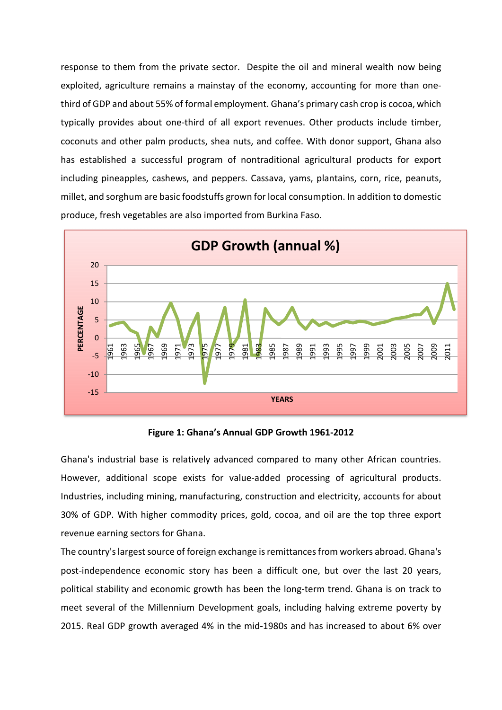response to them from the private sector. Despite the oil and mineral wealth now being exploited, agriculture remains a mainstay of the economy, accounting for more than onethird of GDP and about 55% of formal employment. Ghana's primary cash crop is cocoa, which typically provides about one-third of all export revenues. Other products include timber, coconuts and other palm products, shea nuts, and coffee. With donor support, Ghana also has established a successful program of nontraditional agricultural products for export including pineapples, cashews, and peppers. Cassava, yams, plantains, corn, rice, peanuts, millet, and sorghum are basic foodstuffs grown for local consumption. In addition to domestic produce, fresh vegetables are also imported from Burkina Faso.



**Figure 1: Ghana's Annual GDP Growth 1961-2012** 

Ghana's industrial base is relatively advanced compared to many other African countries. However, additional scope exists for value-added processing of agricultural products. Industries, including mining, manufacturing, construction and electricity, accounts for about 30% of GDP. With higher commodity prices, gold, cocoa, and oil are the top three export revenue earning sectors for Ghana.

The country's largest source of foreign exchange is remittances from workers abroad. Ghana's post-independence economic story has been a difficult one, but over the last 20 years, political stability and economic growth has been the long-term trend. Ghana is on track to meet several of the Millennium Development goals, including halving extreme poverty by 2015. Real GDP growth averaged 4% in the mid-1980s and has increased to about 6% over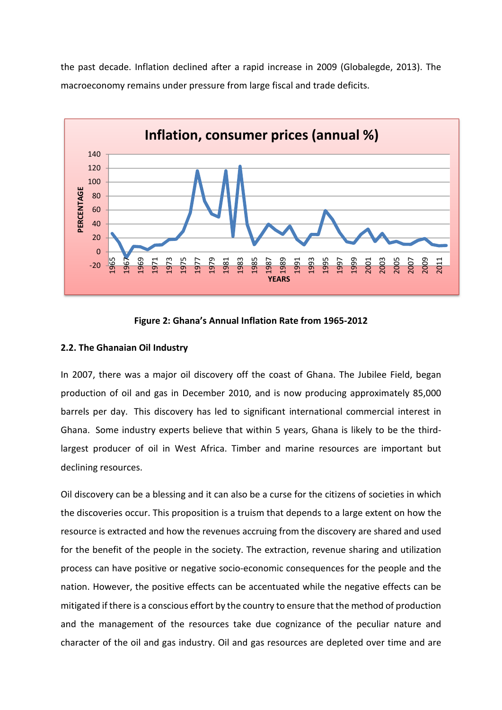the past decade. Inflation declined after a rapid increase in 2009 (Globalegde, 2013). The macroeconomy remains under pressure from large fiscal and trade deficits.



#### **Figure 2: Ghana's Annual Inflation Rate from 1965-2012**

#### **2.2. The Ghanaian Oil Industry**

In 2007, there was a major oil discovery off the coast of Ghana. The Jubilee Field, began production of oil and gas in December 2010, and is now producing approximately 85,000 barrels per day. This discovery has led to significant international commercial interest in Ghana. Some industry experts believe that within 5 years, Ghana is likely to be the thirdlargest producer of oil in West Africa. Timber and marine resources are important but declining resources.

Oil discovery can be a blessing and it can also be a curse for the citizens of societies in which the discoveries occur. This proposition is a truism that depends to a large extent on how the resource is extracted and how the revenues accruing from the discovery are shared and used for the benefit of the people in the society. The extraction, revenue sharing and utilization process can have positive or negative socio-economic consequences for the people and the nation. However, the positive effects can be accentuated while the negative effects can be mitigated if there is a conscious effort by the country to ensure that the method of production and the management of the resources take due cognizance of the peculiar nature and character of the oil and gas industry. Oil and gas resources are depleted over time and are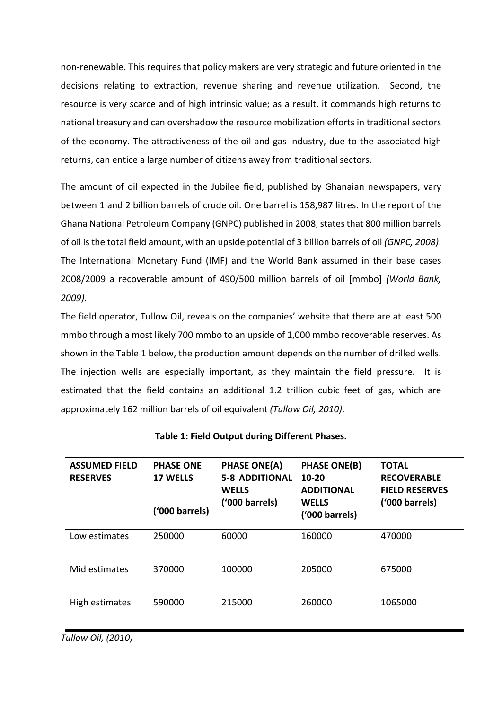non-renewable. This requires that policy makers are very strategic and future oriented in the decisions relating to extraction, revenue sharing and revenue utilization. Second, the resource is very scarce and of high intrinsic value; as a result, it commands high returns to national treasury and can overshadow the resource mobilization efforts in traditional sectors of the economy. The attractiveness of the oil and gas industry, due to the associated high returns, can entice a large number of citizens away from traditional sectors.

The amount of oil expected in the Jubilee field, published by Ghanaian newspapers, vary between 1 and 2 billion barrels of crude oil. One barrel is 158,987 litres. In the report of the Ghana National Petroleum Company (GNPC) published in 2008, states that 800 million barrels of oil is the total field amount, with an upside potential of 3 billion barrels of oil *(GNPC, 2008)*. The International Monetary Fund (IMF) and the World Bank assumed in their base cases 2008/2009 a recoverable amount of 490/500 million barrels of oil [mmbo] *(World Bank, 2009)*.

The field operator, Tullow Oil, reveals on the companies' website that there are at least 500 mmbo through a most likely 700 mmbo to an upside of 1,000 mmbo recoverable reserves. As shown in the Table 1 below, the production amount depends on the number of drilled wells. The injection wells are especially important, as they maintain the field pressure. It is estimated that the field contains an additional 1.2 trillion cubic feet of gas, which are approximately 162 million barrels of oil equivalent *(Tullow Oil, 2010)*.

| <b>ASSUMED FIELD</b><br><b>RESERVES</b> | <b>PHASE ONE</b><br><b>17 WELLS</b> | <b>PHASE ONE(A)</b><br><b>5-8 ADDITIONAL</b><br><b>WELLS</b> | <b>PHASE ONE(B)</b><br>$10 - 20$<br><b>ADDITIONAL</b> | <b>TOTAL</b><br><b>RECOVERABLE</b><br><b>FIELD RESERVES</b> |  |  |  |  |
|-----------------------------------------|-------------------------------------|--------------------------------------------------------------|-------------------------------------------------------|-------------------------------------------------------------|--|--|--|--|
|                                         | ('000 barrels)                      | ('000 barrels)                                               | <b>WELLS</b><br>('000 barrels)                        | ('000 barrels)                                              |  |  |  |  |
| Low estimates                           | 250000                              | 60000                                                        | 160000                                                | 470000                                                      |  |  |  |  |
| Mid estimates                           | 370000                              | 100000                                                       | 205000                                                | 675000                                                      |  |  |  |  |
| High estimates                          | 590000                              | 215000                                                       | 260000                                                | 1065000                                                     |  |  |  |  |

#### **Table 1: Field Output during Different Phases.**

*Tullow Oil, (2010)*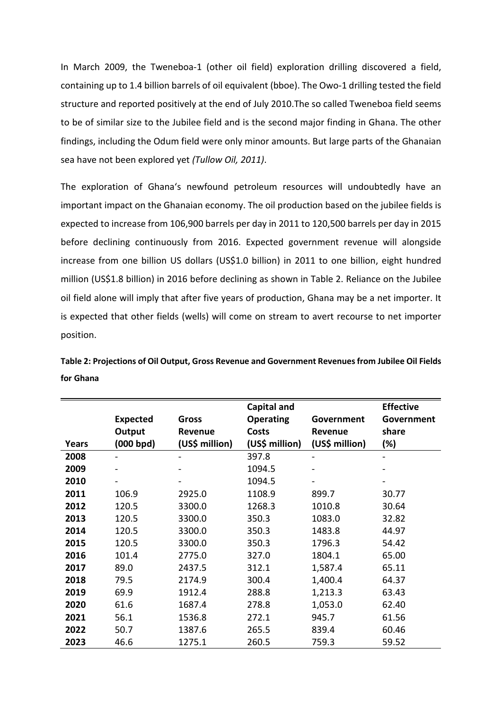In March 2009, the Tweneboa-1 (other oil field) exploration drilling discovered a field, containing up to 1.4 billion barrels of oil equivalent (bboe). The Owo-1 drilling tested the field structure and reported positively at the end of July 2010.The so called Tweneboa field seems to be of similar size to the Jubilee field and is the second major finding in Ghana. The other findings, including the Odum field were only minor amounts. But large parts of the Ghanaian sea have not been explored yet *(Tullow Oil, 2011)*.

The exploration of Ghana's newfound petroleum resources will undoubtedly have an important impact on the Ghanaian economy. The oil production based on the jubilee fields is expected to increase from 106,900 barrels per day in 2011 to 120,500 barrels per day in 2015 before declining continuously from 2016. Expected government revenue will alongside increase from one billion US dollars (US\$1.0 billion) in 2011 to one billion, eight hundred million (US\$1.8 billion) in 2016 before declining as shown in Table 2. Reliance on the Jubilee oil field alone will imply that after five years of production, Ghana may be a net importer. It is expected that other fields (wells) will come on stream to avert recourse to net importer position.

| Table 2: Projections of Oil Output, Gross Revenue and Government Revenues from Jubilee Oil Fields |  |
|---------------------------------------------------------------------------------------------------|--|
| for Ghana                                                                                         |  |

|              |                 |                | <b>Capital and</b> |                | <b>Effective</b> |
|--------------|-----------------|----------------|--------------------|----------------|------------------|
|              | <b>Expected</b> | <b>Gross</b>   | <b>Operating</b>   | Government     | Government       |
|              | Output          | Revenue        | <b>Costs</b>       | Revenue        | share            |
| <b>Years</b> | (000 bpd)       | (US\$ million) | (US\$ million)     | (US\$ million) | (%)              |
| 2008         |                 |                | 397.8              |                |                  |
| 2009         |                 |                | 1094.5             |                |                  |
| 2010         |                 |                | 1094.5             | -              |                  |
| 2011         | 106.9           | 2925.0         | 1108.9             | 899.7          | 30.77            |
| 2012         | 120.5           | 3300.0         | 1268.3             | 1010.8         | 30.64            |
| 2013         | 120.5           | 3300.0         | 350.3              | 1083.0         | 32.82            |
| 2014         | 120.5           | 3300.0         | 350.3              | 1483.8         | 44.97            |
| 2015         | 120.5           | 3300.0         | 350.3              | 1796.3         | 54.42            |
| 2016         | 101.4           | 2775.0         | 327.0              | 1804.1         | 65.00            |
| 2017         | 89.0            | 2437.5         | 312.1              | 1,587.4        | 65.11            |
| 2018         | 79.5            | 2174.9         | 300.4              | 1,400.4        | 64.37            |
| 2019         | 69.9            | 1912.4         | 288.8              | 1,213.3        | 63.43            |
| 2020         | 61.6            | 1687.4         | 278.8              | 1,053.0        | 62.40            |
| 2021         | 56.1            | 1536.8         | 272.1              | 945.7          | 61.56            |
| 2022         | 50.7            | 1387.6         | 265.5              | 839.4          | 60.46            |
| 2023         | 46.6            | 1275.1         | 260.5              | 759.3          | 59.52            |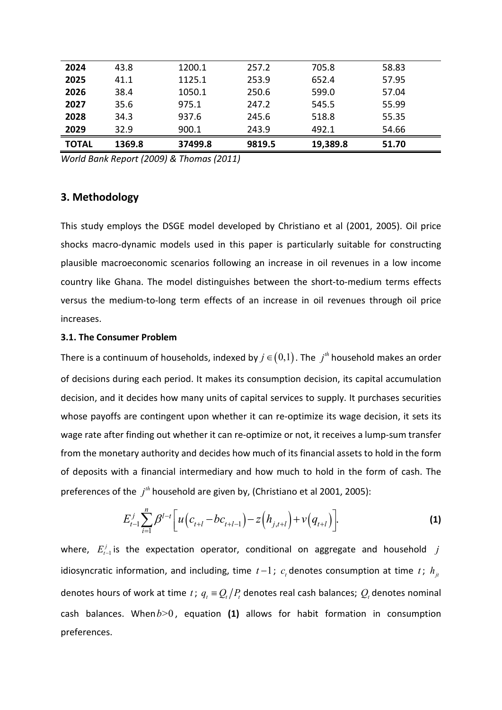| 2024         | 43.8   | 1200.1  | 257.2  | 705.8    | 58.83 |
|--------------|--------|---------|--------|----------|-------|
| 2025         | 41.1   | 1125.1  | 253.9  | 652.4    | 57.95 |
| 2026         | 38.4   | 1050.1  | 250.6  | 599.0    | 57.04 |
| 2027         | 35.6   | 975.1   | 247.2  | 545.5    | 55.99 |
| 2028         | 34.3   | 937.6   | 245.6  | 518.8    | 55.35 |
| 2029         | 32.9   | 900.1   | 243.9  | 492.1    | 54.66 |
| <b>TOTAL</b> | 1369.8 | 37499.8 | 9819.5 | 19,389.8 | 51.70 |

*World Bank Report (2009) & Thomas (2011)* 

## **3. Methodology**

This study employs the DSGE model developed by Christiano et al (2001, 2005). Oil price shocks macro-dynamic models used in this paper is particularly suitable for constructing plausible macroeconomic scenarios following an increase in oil revenues in a low income country like Ghana. The model distinguishes between the short-to-medium terms effects versus the medium-to-long term effects of an increase in oil revenues through oil price increases.

#### **3.1. The Consumer Problem**

There is a continuum of households, indexed by  $j \in (0,1)$ . The  $j<sup>th</sup>$  household makes an order of decisions during each period. It makes its consumption decision, its capital accumulation decision, and it decides how many units of capital services to supply. It purchases securities whose payoffs are contingent upon whether it can re-optimize its wage decision, it sets its wage rate after finding out whether it can re-optimize or not, it receives a lump-sum transfer from the monetary authority and decides how much of its financial assets to hold in the form of deposits with a financial intermediary and how much to hold in the form of cash. The preferences of the  $j<sup>th</sup>$  household are given by, (Christiano et al 2001, 2005):

$$
E_{t-1}^{j} \sum_{i=1}^{n} \beta^{l-t} \bigg[ u \big( c_{t+l} - b c_{t+l-1} \big) - z \big( h_{j,t+l} \big) + v \big( q_{t+l} \big) \bigg]. \tag{1}
$$

where,  $E_{t-1}^j$  is the expectation operator, conditional on aggregate and household  $j$ idiosyncratic information, and including, time  $t-1$ ;  $c_t$  denotes consumption at time  $t$ ;  $h_{j_t}$ denotes hours of work at time *t*;  $q_t = Q_t/P_t$  denotes real cash balances;  $Q_t$  denotes nominal cash balances. When*b*>0 , equation **(1)** allows for habit formation in consumption preferences.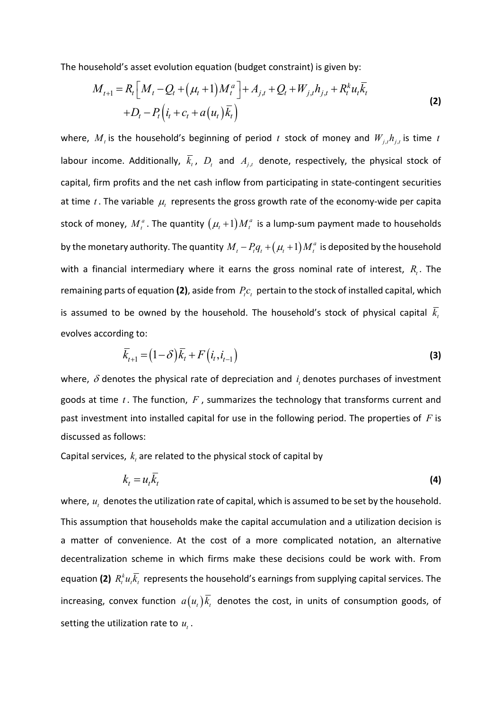The household's asset evolution equation (budget constraint) is given by:

$$
M_{t+1} = R_t \left[ M_t - Q_t + (\mu_t + 1) M_t^a \right] + A_{j,t} + Q_t + W_{j,t} h_{j,t} + R_t^k u_t \overline{k}_t + D_t - P_t \left( i_t + c_t + a(u_t) \overline{k}_t \right)
$$
\n(2)

where,  $M_{_t}$  is the household's beginning of period  $t$  stock of money and  $W_{j,t}h_{j,t}$  is time  $t$ labour income. Additionally,  $k_t$ ,  $D_t$  and  $A_{j,t}$  denote, respectively, the physical stock of capital, firm profits and the net cash inflow from participating in state-contingent securities at time  $t$ . The variable  $\mu$ <sub>t</sub> represents the gross growth rate of the economy-wide per capita stock of money,  $M_t^a$ . The quantity  $(\mu_t+1)M_t^a$  is a lump-sum payment made to households by the monetary authority. The quantity  $M_{_t}$  –  $P_{_t}q_{_t}$  +  $\left( \mu_{_t}$  +  $1 \right)$   $M_{_t}^a$  is deposited by the household with a financial intermediary where it earns the gross nominal rate of interest,  $R_{\iota}$ . The remaining parts of equation (2), aside from  $P_{i}c_{i}$  pertain to the stock of installed capital, which is assumed to be owned by the household. The household's stock of physical capital *<sup>t</sup> k* evolves according to:

$$
\overline{k}_{t+1} = (1 - \delta)\overline{k}_t + F(i_t, i_{t-1})
$$
\n
$$
(3)
$$

where,  $\delta$  denotes the physical rate of depreciation and  $i_{\iota}$  denotes purchases of investment goods at time *t* . The function, *F* , summarizes the technology that transforms current and past investment into installed capital for use in the following period. The properties of *F* is discussed as follows:

Capital services,  $k_{\scriptscriptstyle t}$  are related to the physical stock of capital by

$$
k_t = u_t \overline{k}_t \tag{4}
$$

where,  $u_t$  denotes the utilization rate of capital, which is assumed to be set by the household. This assumption that households make the capital accumulation and a utilization decision is a matter of convenience. At the cost of a more complicated notation, an alternative decentralization scheme in which firms make these decisions could be work with. From equation (2)  $R_i^k u_i \overline{k_i}$  represents the household's earnings from supplying capital services. The increasing, convex function  $a(u_t)\overline{k}_t$  denotes the cost, in units of consumption goods, of setting the utilization rate to  $u_t$ .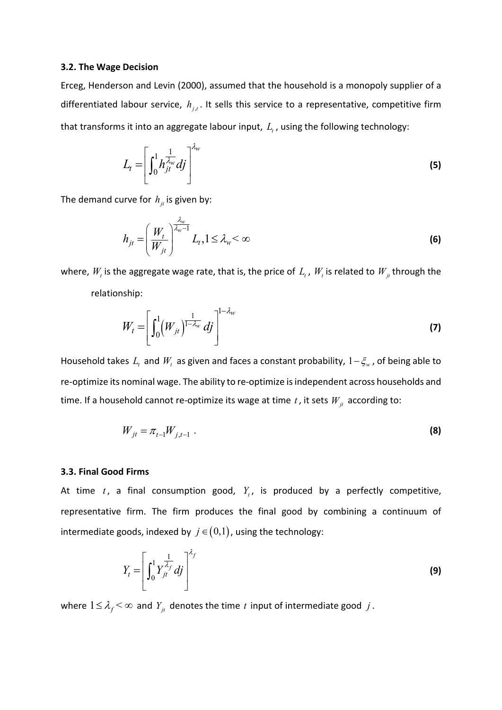#### **3.2. The Wage Decision**

Erceg, Henderson and Levin (2000), assumed that the household is a monopoly supplier of a differentiated labour service,  $h_{j,t}$ . It sells this service to a representative, competitive firm that transforms it into an aggregate labour input,  $L_{t}$ , using the following technology:

$$
L_t = \left[ \int_0^1 h_{jt}^{\frac{1}{\lambda_w}} dj \right]^{\lambda_w}
$$
 (5)

The demand curve for  $h_{it}$  is given by:

$$
h_{jt} = \left(\frac{W_t}{W_{jt}}\right)^{\frac{\lambda_w}{\lambda_w - 1}} L_t, 1 \le \lambda_w < \infty
$$
 (6)

where,  $W_{_t}$  is the aggregate wage rate, that is, the price of  $L_{_t}$  ,  $W_{_t}$  is related to  $W_{_{jt}}$  through the relationship:

$$
W_t = \left[ \int_0^1 (W_{jt})^{\frac{1}{1 - \lambda_w}} df \right]^{1 - \lambda_w}
$$
 (7)

Household takes  $L_t$  and  $W_t$  as given and faces a constant probability,  $1-\xi_w$ , of being able to re-optimize its nominal wage. The ability to re-optimize is independent across households and time. If a household cannot re-optimize its wage at time  $t$ , it sets  $W_{jt}$  according to:

$$
W_{jt} = \pi_{t-1} W_{j,t-1} \tag{8}
$$

#### **3.3. Final Good Firms**

At time  $t$ , a final consumption good,  $Y_t$ , is produced by a perfectly competitive, representative firm. The firm produces the final good by combining a continuum of intermediate goods, indexed by  $j \in (0,1)$ , using the technology:

$$
Y_t = \left[ \int_0^1 Y_{jt}^{\frac{1}{\lambda_f}} df \right]^{\lambda_f}
$$
 (9)

where  $1 \leq \lambda_f \leq \infty$  and  $Y_{jt}$  denotes the time *t* input of intermediate good *j*.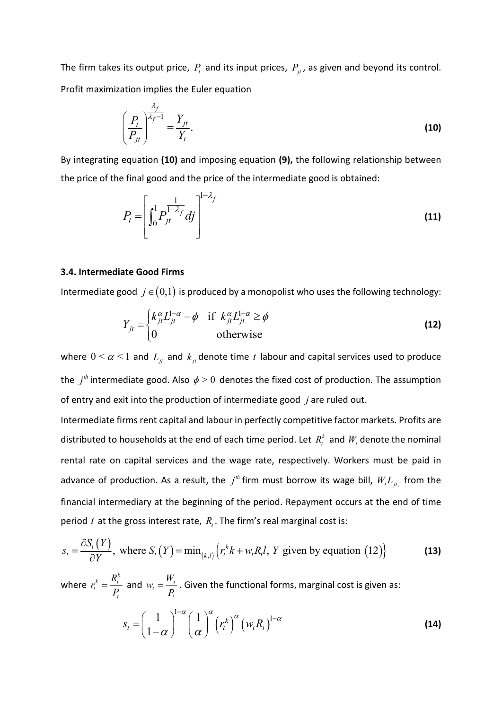The firm takes its output price,  $P_t$  and its input prices,  $P_{jt}$ , as given and beyond its control. Profit maximization implies the Euler equation

$$
\left(\frac{P_t}{P_{jt}}\right)^{\frac{\lambda_f}{\lambda_f - 1}} = \frac{Y_{jt}}{Y_t}.
$$
\n(10)

By integrating equation **(10)** and imposing equation **(9),** the following relationship between the price of the final good and the price of the intermediate good is obtained:

$$
P_t = \left[ \int_0^1 P_{jt}^{\frac{1}{1-\lambda_f}} df \right]^{-1-\lambda_f}
$$
\n(11)

#### **3.4. Intermediate Good Firms**

Intermediate good  $j \in (0,1)$  is produced by a monopolist who uses the following technology:

$$
Y_{jt} = \begin{cases} k_{jt}^{\alpha} L_{jt}^{1-\alpha} - \phi & \text{if } k_{jt}^{\alpha} L_{jt}^{1-\alpha} \ge \phi \\ 0 & \text{otherwise} \end{cases}
$$
(12)

where  $0 \le \alpha \le 1$  and  $L_i$  and  $k_i$  denote time *t* labour and capital services used to produce the  $j<sup>th</sup>$  intermediate good. Also  $\phi > 0$  denotes the fixed cost of production. The assumption of entry and exit into the production of intermediate good *j* are ruled out.

Intermediate firms rent capital and labour in perfectly competitive factor markets. Profits are distributed to households at the end of each time period. Let  $R_t^k$  and  $W_t$  denote the nominal rental rate on capital services and the wage rate, respectively. Workers must be paid in advance of production. As a result, the  $j<sup>th</sup>$  firm must borrow its wage bill,  $W_t L_{jt}$ , from the financial intermediary at the beginning of the period. Repayment occurs at the end of time period  $t$  at the gross interest rate,  $R_t$ . The firm's real marginal cost is:

$$
s_t = \frac{\partial S_t(Y)}{\partial Y}, \text{ where } S_t(Y) = \min_{(k,l)} \left\{ r_t^k k + w_t R_t l, Y \text{ given by equation (12)} \right\}
$$
 (13)

where  $\mathbf{r}^k_t = \frac{R^k_t}{R}$ *t*  $r_t^k = \frac{R}{I}$ *P*  $=\frac{R_t}{R}$  and  $W_t = \frac{H_t}{R}$ *t*  $W_i = \frac{W}{R}$ *P*  $=\frac{V_t}{R}$ . Given the functional forms, marginal cost is given as:  $s_t = \left(\frac{1}{1-\alpha}\right)^{1-\alpha} \left(\frac{1}{\alpha}\right)^{\alpha} \left(r_t^{k}\right)^{\alpha} \left(w_t R_t\right)^{1}$ 1  $s_t = \left| \frac{1}{1 - \alpha} \right| \left| \frac{1}{\alpha} \right| \left( r_t^k \right)^{\alpha} \left( w_t R_t \right)$  $\alpha$  (1)  $\alpha$  (1)  $\alpha$  (1)  $\alpha$  $\overline{\alpha}$   $\overline{\alpha}$  $(1)^{1-\alpha}(1)^{\alpha}$  $=\left(\frac{1}{1-\alpha}\right) \left(\frac{1}{\alpha}\right)$  $\overline{a}$ **(14)**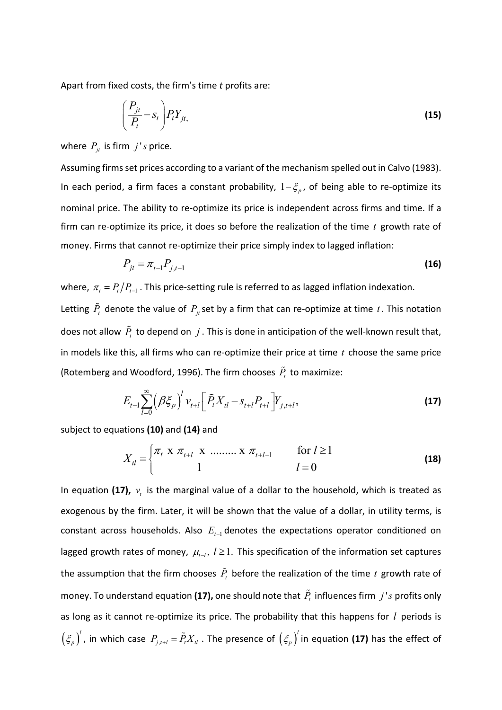Apart from fixed costs, the firm's time *t* profits are:

$$
\left(\frac{P_{jt}}{P_t} - S_t\right) P_t Y_{jt},\tag{15}
$$

where  $P_{it}$  is firm  $j's$  price.

Assuming firms set prices according to a variant of the mechanism spelled out in Calvo (1983). In each period, a firm faces a constant probability,  $1-\xi_p$ , of being able to re-optimize its nominal price. The ability to re-optimize its price is independent across firms and time. If a firm can re-optimize its price, it does so before the realization of the time *t* growth rate of money. Firms that cannot re-optimize their price simply index to lagged inflation:

$$
P_{jt} = \pi_{t-1} P_{j,t-1}
$$
 (16)

where,  $\pi_{t} = P_{t}/P_{t-1}$ . This price-setting rule is referred to as lagged inflation indexation. Letting  $\tilde{P}_t$  denote the value of  $P_{jt}$ set by a firm that can re-optimize at time  $t$ . This notation does not allow  $\tilde{P}_t$  to depend on  $j$ . This is done in anticipation of the well-known result that, in models like this, all firms who can re-optimize their price at time *t* choose the same price (Rotemberg and Woodford, 1996). The firm chooses  $\tilde{P}_t$  to maximize:

$$
E_{t-1} \sum_{l=0}^{\infty} \left( \beta \xi_{p} \right)^{l} v_{t+l} \left[ \tilde{P}_{t} X_{tl} - s_{t+l} P_{t+l} \right] Y_{j,t+l}, \tag{17}
$$

subject to equations **(10)** and **(14)** and

$$
X_{tl} = \begin{cases} \pi_t & \text{if } \pi_{t+l} \geq 1 \\ 1 & l = 0 \end{cases}
$$
 (18)

In equation (17),  $v_t$  is the marginal value of a dollar to the household, which is treated as exogenous by the firm. Later, it will be shown that the value of a dollar, in utility terms, is constant across households. Also  $E_{t-1}$  denotes the expectations operator conditioned on lagged growth rates of money,  $\mu_{t-l}$ ,  $l \geq 1$ . This specification of the information set captures the assumption that the firm chooses  $\tilde{P}_t$  before the realization of the time  $t$  growth rate of money. To understand equation **(17),** one should note that  $\tilde{P}_t$  influences firm  $j$ 's profits only as long as it cannot re-optimize its price. The probability that this happens for *l* periods is  $\left(\xi_p\right)^l$ , in which case  $P_{j,t+l} = \tilde{P}_t X_{tl}$  . The presence of  $\left(\xi_p\right)^l$  in equation (17) has the effect of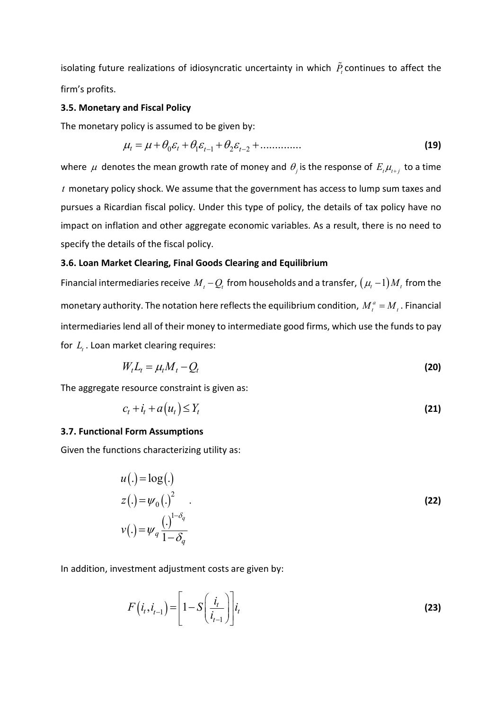isolating future realizations of idiosyncratic uncertainty in which  $\tilde{P}_t$  continues to affect the firm's profits.

#### **3.5. Monetary and Fiscal Policy**

The monetary policy is assumed to be given by:

$$
\mu_t = \mu + \theta_0 \varepsilon_t + \theta_1 \varepsilon_{t-1} + \theta_2 \varepsilon_{t-2} + \dots \tag{19}
$$

where  $\mu$  denotes the mean growth rate of money and  $\theta_j$  is the response of  $E_{_t}\mu_{_{t+j}}$  to a time *t* monetary policy shock. We assume that the government has access to lump sum taxes and pursues a Ricardian fiscal policy. Under this type of policy, the details of tax policy have no impact on inflation and other aggregate economic variables. As a result, there is no need to specify the details of the fiscal policy.

#### **3.6. Loan Market Clearing, Final Goods Clearing and Equilibrium**

Financial intermediaries receive  $M_t - Q_t$  from households and a transfer,  $(\mu_t - 1)M_t$  from the monetary authority. The notation here reflects the equilibrium condition,  $M_t^a = M_t$ . Financial intermediaries lend all of their money to intermediate good firms, which use the funds to pay for  $L_t$ . Loan market clearing requires:

$$
W_t L_t = \mu_t M_t - Q_t \tag{20}
$$

The aggregate resource constraint is given as:

$$
c_t + i_t + a(u_t) \le Y_t \tag{21}
$$

#### **3.7. Functional Form Assumptions**

Given the functions characterizing utility as:

$$
u(.) = \log(.)
$$
  
\n
$$
z(.) = \psi_0(.)^2
$$
  
\n
$$
v(.) = \psi_q \frac{(\cdot)^{1-\delta_q}}{1-\delta_q}
$$
 (22)

In addition, investment adjustment costs are given by:

$$
F(i_t, i_{t-1}) = \left[1 - S\left(\frac{i_t}{i_{t-1}}\right)\right] i_t
$$
\n(23)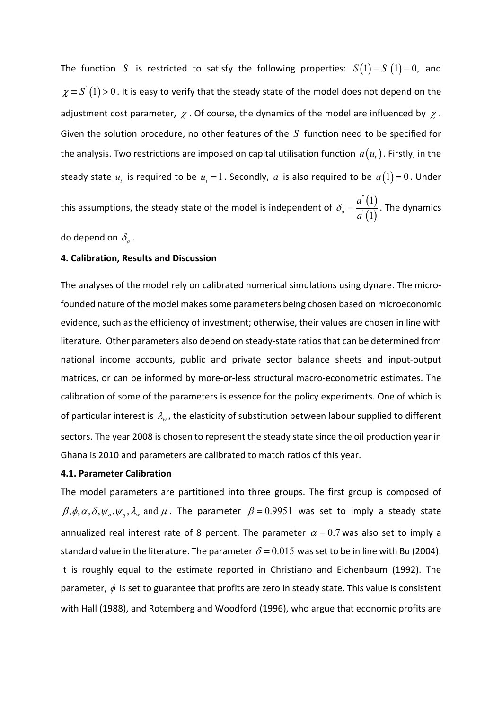The function  $S$  is restricted to satisfy the following properties:  $S(1) = S'(1) = 0$ , and  $\chi$   $\equiv$  *S*<sup>"</sup>(1) > 0. It is easy to verify that the steady state of the model does not depend on the adjustment cost parameter,  $\chi$ . Of course, the dynamics of the model are influenced by  $\chi$ . Given the solution procedure, no other features of the *S* function need to be specified for the analysis. Two restrictions are imposed on capital utilisation function  $\,a(u_{_t})$  . Firstly, in the steady state  $u_t$  is required to be  $u_t = 1$ . Secondly,  $a$  is also required to be  $a(1) = 0$ . Under this assumptions, the steady state of the model is independent of  $\delta_a = \frac{a^*(1)}{a^*(1)}$  $(1)$ '' ' 1  $a^a$   $a^b$  (1) *a a*  $\delta_a = \frac{d^2(1)}{d^2}$ . The dynamics

do depend on  $\delta_a$ .

#### **4. Calibration, Results and Discussion**

The analyses of the model rely on calibrated numerical simulations using dynare. The microfounded nature of the model makes some parameters being chosen based on microeconomic evidence, such as the efficiency of investment; otherwise, their values are chosen in line with literature. Other parameters also depend on steady-state ratios that can be determined from national income accounts, public and private sector balance sheets and input-output matrices, or can be informed by more-or-less structural macro-econometric estimates. The calibration of some of the parameters is essence for the policy experiments. One of which is of particular interest is  $\lambda_{\scriptscriptstyle{w}}$ , the elasticity of substitution between labour supplied to different sectors. The year 2008 is chosen to represent the steady state since the oil production year in Ghana is 2010 and parameters are calibrated to match ratios of this year.

#### **4.1. Parameter Calibration**

The model parameters are partitioned into three groups. The first group is composed of  $\beta, \phi, \alpha, \delta, \psi_0, \psi_q, \lambda_w$  and  $\mu$ . The parameter  $\beta = 0.9951$  was set to imply a steady state annualized real interest rate of 8 percent. The parameter  $\alpha = 0.7$  was also set to imply a standard value in the literature. The parameter  $\delta = 0.015$  was set to be in line with Bu (2004). It is roughly equal to the estimate reported in Christiano and Eichenbaum (1992). The parameter,  $\phi$  is set to guarantee that profits are zero in steady state. This value is consistent with Hall (1988), and Rotemberg and Woodford (1996), who argue that economic profits are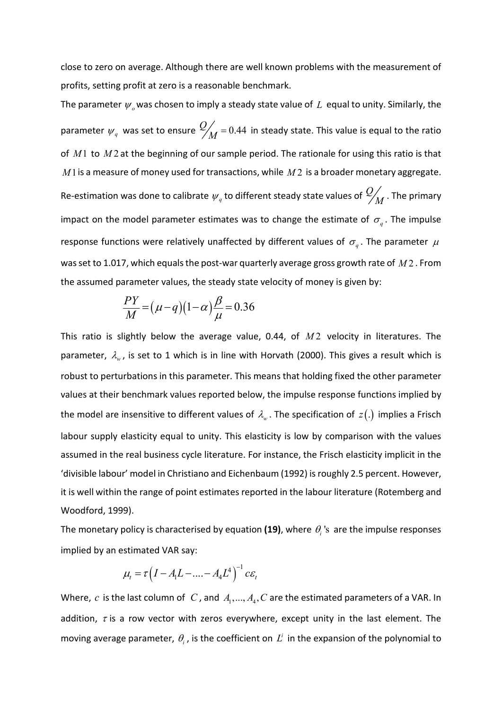close to zero on average. Although there are well known problems with the measurement of profits, setting profit at zero is a reasonable benchmark.

The parameter  $\psi_{\alpha}$  was chosen to imply a steady state value of  $L$  equal to unity. Similarly, the parameter  $\psi_q^{\parallel}$  was set to ensure  $\frac{Q}{M}$  = 0.44 in steady state. This value is equal to the ratio of *M*1 to *M* 2 at the beginning of our sample period. The rationale for using this ratio is that *M*1is a measure of money used for transactions, while *M* 2 is a broader monetary aggregate. Re-estimation was done to calibrate  $\psi_q$  to different steady state values of  $\frac{Q}{M}$  . The primary impact on the model parameter estimates was to change the estimate of  $\sigma_q$ . The impulse response functions were relatively unaffected by different values of  $\sigma_q$ . The parameter  $\mu$ was set to 1.017, which equals the post-war quarterly average gross growth rate of *M* 2 . From the assumed parameter values, the steady state velocity of money is given by:

$$
\frac{PY}{M} = (\mu - q)(1 - \alpha)\frac{\beta}{\mu} = 0.36
$$

This ratio is slightly below the average value, 0.44, of  $M2$  velocity in literatures. The parameter,  $\lambda_{w}$ , is set to 1 which is in line with Horvath (2000). This gives a result which is robust to perturbations in this parameter. This means that holding fixed the other parameter values at their benchmark values reported below, the impulse response functions implied by the model are insensitive to different values of  $\lambda_{\scriptscriptstyle{w}}$  . The specification of  $z(.)$  implies a Frisch labour supply elasticity equal to unity. This elasticity is low by comparison with the values assumed in the real business cycle literature. For instance, the Frisch elasticity implicit in the 'divisible labour' model in Christiano and Eichenbaum (1992) is roughly 2.5 percent. However, it is well within the range of point estimates reported in the labour literature (Rotemberg and Woodford, 1999).

The monetary policy is characterised by equation (19), where  $\theta_i$  's are the impulse responses implied by an estimated VAR say:

$$
\mu_t = \tau \left(I - A_1 L - \dots - A_4 L^4\right)^{-1} c \varepsilon_t
$$

Where,  $c$  is the last column of  $C$ , and  $A_1, ..., A_4, C$  are the estimated parameters of a VAR. In addition,  $\tau$  is a row vector with zeros everywhere, except unity in the last element. The moving average parameter,  $\theta_i$ , is the coefficient on  $L^i$  in the expansion of the polynomial to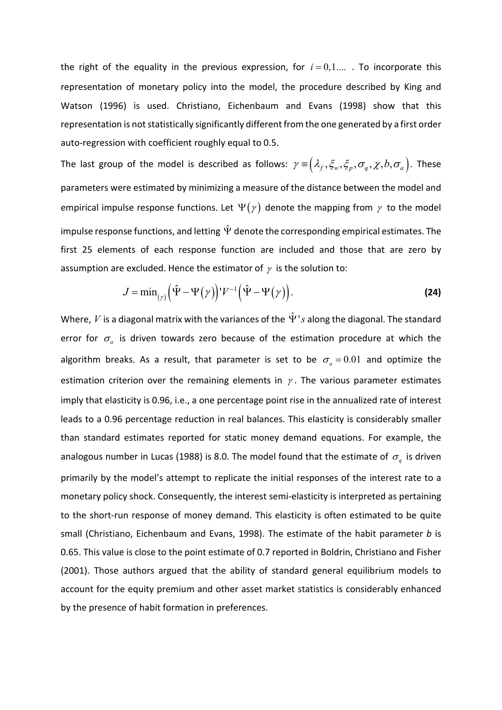the right of the equality in the previous expression, for  $i = 0,1,...$  To incorporate this representation of monetary policy into the model, the procedure described by King and Watson (1996) is used. Christiano, Eichenbaum and Evans (1998) show that this representation is not statistically significantly different from the one generated by a first order auto-regression with coefficient roughly equal to 0.5.

The last group of the model is described as follows:  $\gamma = (\lambda_f, \xi_w, \xi_p, \sigma_q, \chi, b, \sigma_a)$ . These parameters were estimated by minimizing a measure of the distance between the model and empirical impulse response functions. Let  $\Psi(\gamma)$  denote the mapping from  $\gamma$  to the model impulse response functions, and letting  $\hat{\Psi}$  denote the corresponding empirical estimates. The first 25 elements of each response function are included and those that are zero by assumption are excluded. Hence the estimator of  $\gamma$  is the solution to:

$$
J = \min_{(\gamma)} \left( \hat{\Psi} - \Psi(\gamma) \right) V^{-1} \left( \hat{\Psi} - \Psi(\gamma) \right).
$$
 (24)

Where, *V* is a diagonal matrix with the variances of the  $\hat{\Psi}$ 's along the diagonal. The standard error for  $\sigma_a$  is driven towards zero because of the estimation procedure at which the algorithm breaks. As a result, that parameter is set to be  $\sigma_a = 0.01$  and optimize the estimation criterion over the remaining elements in  $\gamma$ . The various parameter estimates imply that elasticity is 0.96, i.e., a one percentage point rise in the annualized rate of interest leads to a 0.96 percentage reduction in real balances. This elasticity is considerably smaller than standard estimates reported for static money demand equations. For example, the analogous number in Lucas (1988) is 8.0. The model found that the estimate of  $\sigma_q^{\text{}}$  is driven primarily by the model's attempt to replicate the initial responses of the interest rate to a monetary policy shock. Consequently, the interest semi-elasticity is interpreted as pertaining to the short-run response of money demand. This elasticity is often estimated to be quite small (Christiano, Eichenbaum and Evans, 1998). The estimate of the habit parameter *b* is 0.65. This value is close to the point estimate of 0.7 reported in Boldrin, Christiano and Fisher (2001). Those authors argued that the ability of standard general equilibrium models to account for the equity premium and other asset market statistics is considerably enhanced by the presence of habit formation in preferences.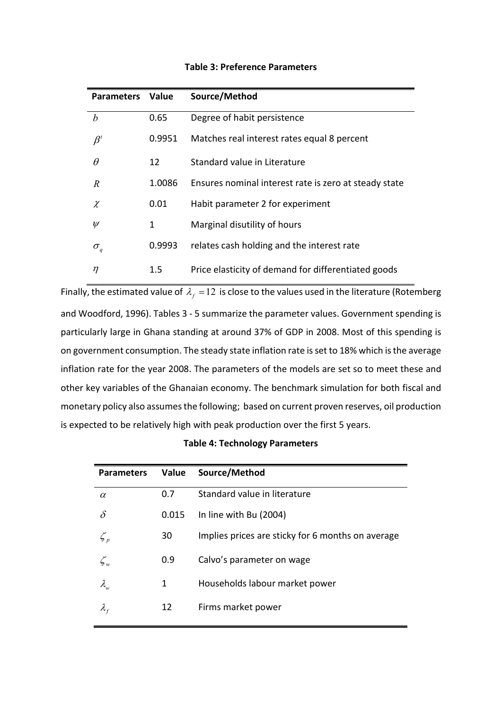| <b>Parameters</b> | Value  | Source/Method                                         |
|-------------------|--------|-------------------------------------------------------|
| $\boldsymbol{b}$  | 0.65   | Degree of habit persistence                           |
| $\beta^t$         | 0.9951 | Matches real interest rates equal 8 percent           |
| $\theta$          | 12     | Standard value in Literature                          |
| R                 | 1.0086 | Ensures nominal interest rate is zero at steady state |
| $\chi$            | 0.01   | Habit parameter 2 for experiment                      |
| $\psi$            | 1      | Marginal disutility of hours                          |
| $\sigma_q$        | 0.9993 | relates cash holding and the interest rate            |
| $\eta$            | 1.5    | Price elasticity of demand for differentiated goods   |

#### **Table 3: Preference Parameters**

Finally, the estimated value of  $\lambda_f = 12$  is close to the values used in the literature (Rotemberg and Woodford, 1996). Tables 3 - 5 summarize the parameter values. Government spending is particularly large in Ghana standing at around 37% of GDP in 2008. Most of this spending is on government consumption. The steady state inflation rate is set to 18% which is the average inflation rate for the year 2008. The parameters of the models are set so to meet these and other key variables of the Ghanaian economy. The benchmark simulation for both fiscal and monetary policy also assumes the following; based on current proven reserves, oil production is expected to be relatively high with peak production over the first 5 years.

| <b>Parameters</b>                | Value | Source/Method                                     |
|----------------------------------|-------|---------------------------------------------------|
| $\alpha$                         | 0.7   | Standard value in literature                      |
| δ                                | 0.015 | In line with Bu (2004)                            |
| $\mathcal{L}_p$                  | 30    | Implies prices are sticky for 6 months on average |
| $\zeta_{\scriptscriptstyle w}$   | 0.9   | Calvo's parameter on wage                         |
| $\lambda_{\scriptscriptstyle u}$ | 1     | Households labour market power                    |
| $\lambda_{\rm r}$                | 12    | Firms market power                                |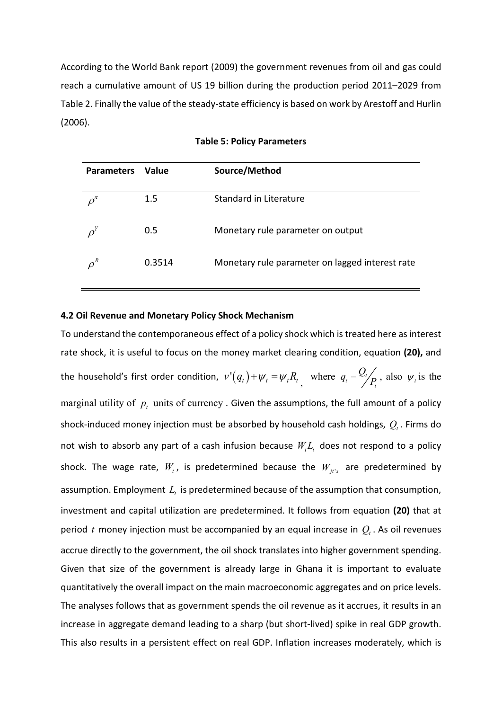According to the World Bank report (2009) the government revenues from oil and gas could reach a cumulative amount of US 19 billion during the production period 2011–2029 from Table 2. Finally the value of the steady-state efficiency is based on work by Arestoff and Hurlin (2006).

| <b>Parameters</b> | <b>Value</b> | Source/Method                                   |
|-------------------|--------------|-------------------------------------------------|
|                   | 1.5          | Standard in Literature                          |
|                   | 0.5          | Monetary rule parameter on output               |
| $\rho^R$          | 0.3514       | Monetary rule parameter on lagged interest rate |

|  |  |  | <b>Table 5: Policy Parameters</b> |
|--|--|--|-----------------------------------|
|--|--|--|-----------------------------------|

#### **4.2 Oil Revenue and Monetary Policy Shock Mechanism**

To understand the contemporaneous effect of a policy shock which is treated here as interest rate shock, it is useful to focus on the money market clearing condition, equation **(20),** and the household's first order condition,  $v'(q_t)+\psi_t=\psi_t R_t$  , where  $q_t=\frac{Q_t}{P_t}$  $q_t = \frac{Q_t}{P_t}$ , also  $\psi_t$  is the marginal utility of  $p_t$  units of currency . Given the assumptions, the full amount of a policy shock-induced money injection must be absorbed by household cash holdings,  $Q_t$ . Firms do not wish to absorb any part of a cash infusion because  $W<sub>t</sub>L<sub>t</sub>$  does not respond to a policy shock. The wage rate,  $W_{t}$ , is predetermined because the  $W_{jt's}$  are predetermined by assumption. Employment *L<sup>t</sup>* is predetermined because of the assumption that consumption, investment and capital utilization are predetermined. It follows from equation **(20)** that at period  $t$  money injection must be accompanied by an equal increase in  $Q_t$ . As oil revenues accrue directly to the government, the oil shock translates into higher government spending. Given that size of the government is already large in Ghana it is important to evaluate quantitatively the overall impact on the main macroeconomic aggregates and on price levels. The analyses follows that as government spends the oil revenue as it accrues, it results in an increase in aggregate demand leading to a sharp (but short-lived) spike in real GDP growth. This also results in a persistent effect on real GDP. Inflation increases moderately, which is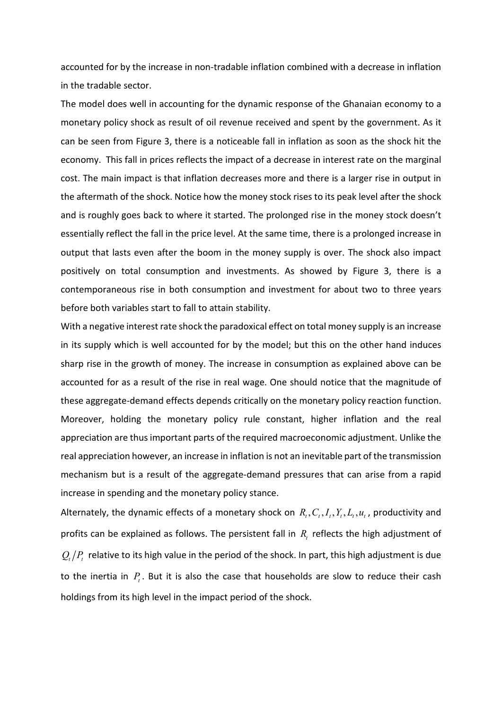accounted for by the increase in non-tradable inflation combined with a decrease in inflation in the tradable sector.

The model does well in accounting for the dynamic response of the Ghanaian economy to a monetary policy shock as result of oil revenue received and spent by the government. As it can be seen from Figure 3, there is a noticeable fall in inflation as soon as the shock hit the economy. This fall in prices reflects the impact of a decrease in interest rate on the marginal cost. The main impact is that inflation decreases more and there is a larger rise in output in the aftermath of the shock. Notice how the money stock rises to its peak level after the shock and is roughly goes back to where it started. The prolonged rise in the money stock doesn't essentially reflect the fall in the price level. At the same time, there is a prolonged increase in output that lasts even after the boom in the money supply is over. The shock also impact positively on total consumption and investments. As showed by Figure 3, there is a contemporaneous rise in both consumption and investment for about two to three years before both variables start to fall to attain stability.

With a negative interest rate shock the paradoxical effect on total money supply is an increase in its supply which is well accounted for by the model; but this on the other hand induces sharp rise in the growth of money. The increase in consumption as explained above can be accounted for as a result of the rise in real wage. One should notice that the magnitude of these aggregate-demand effects depends critically on the monetary policy reaction function. Moreover, holding the monetary policy rule constant, higher inflation and the real appreciation are thus important parts of the required macroeconomic adjustment. Unlike the real appreciation however, an increase in inflation is not an inevitable part of the transmission mechanism but is a result of the aggregate-demand pressures that can arise from a rapid increase in spending and the monetary policy stance.

Alternately, the dynamic effects of a monetary shock on  $R_t, C_t, I_t, Y_t, L_t, u_t$ , productivity and profits can be explained as follows. The persistent fall in  $R<sub>t</sub>$  reflects the high adjustment of  $Q_{\iota}/P_{\iota}$  relative to its high value in the period of the shock. In part, this high adjustment is due to the inertia in  $P_t$ . But it is also the case that households are slow to reduce their cash holdings from its high level in the impact period of the shock.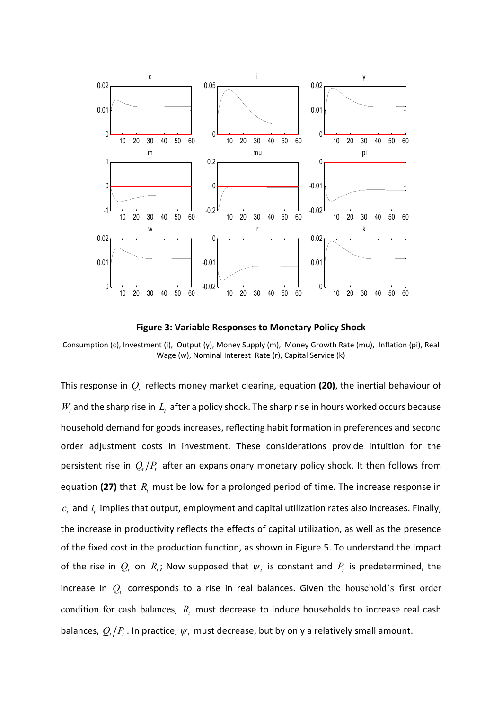

**Figure 3: Variable Responses to Monetary Policy Shock** 

Consumption (c), Investment (i), Output (y), Money Supply (m), Money Growth Rate (mu), Inflation (pi), Real Wage (w), Nominal Interest Rate (r), Capital Service (k)

This response in  $Q_t$  reflects money market clearing, equation (20), the inertial behaviour of  $W_t$  and the sharp rise in  $L_t$  after a policy shock. The sharp rise in hours worked occurs because household demand for goods increases, reflecting habit formation in preferences and second order adjustment costs in investment. These considerations provide intuition for the persistent rise in  $Q_t/P_t$  after an expansionary monetary policy shock. It then follows from equation (27) that  $R_{t}$  must be low for a prolonged period of time. The increase response in  $c_t$  and  $i_t$  implies that output, employment and capital utilization rates also increases. Finally, the increase in productivity reflects the effects of capital utilization, as well as the presence of the fixed cost in the production function, as shown in Figure 5. To understand the impact of the rise in  $Q_t$  on  $R_t$ ; Now supposed that  $\psi_t$  is constant and  $P_t$  is predetermined, the increase in *Q<sup>t</sup>* corresponds to a rise in real balances. Given the household's first order condition for cash balances, *R<sup>t</sup>* must decrease to induce households to increase real cash balances,  $Q_{i}/P_{i}$ . In practice,  $\psi_{i}$  must decrease, but by only a relatively small amount.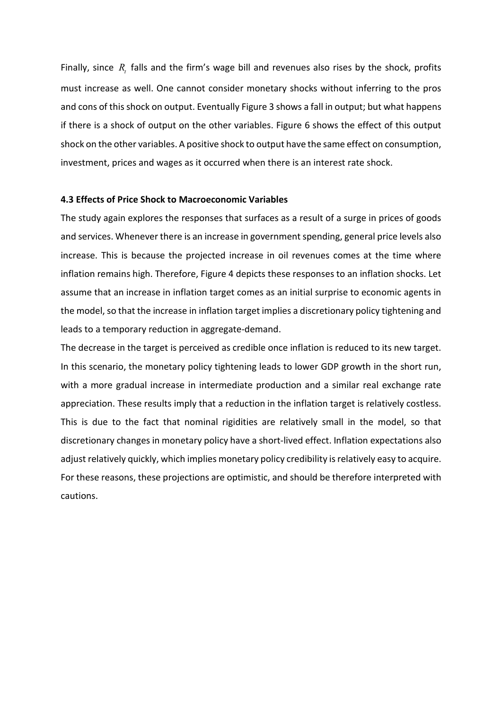Finally, since  $R_{\iota}$  falls and the firm's wage bill and revenues also rises by the shock, profits must increase as well. One cannot consider monetary shocks without inferring to the pros and cons of this shock on output. Eventually Figure 3 shows a fall in output; but what happens if there is a shock of output on the other variables. Figure 6 shows the effect of this output shock on the other variables. A positive shock to output have the same effect on consumption, investment, prices and wages as it occurred when there is an interest rate shock.

#### **4.3 Effects of Price Shock to Macroeconomic Variables**

The study again explores the responses that surfaces as a result of a surge in prices of goods and services. Whenever there is an increase in government spending, general price levels also increase. This is because the projected increase in oil revenues comes at the time where inflation remains high. Therefore, Figure 4 depicts these responses to an inflation shocks. Let assume that an increase in inflation target comes as an initial surprise to economic agents in the model, so that the increase in inflation target implies a discretionary policy tightening and leads to a temporary reduction in aggregate-demand.

The decrease in the target is perceived as credible once inflation is reduced to its new target. In this scenario, the monetary policy tightening leads to lower GDP growth in the short run, with a more gradual increase in intermediate production and a similar real exchange rate appreciation. These results imply that a reduction in the inflation target is relatively costless. This is due to the fact that nominal rigidities are relatively small in the model, so that discretionary changes in monetary policy have a short-lived effect. Inflation expectations also adjust relatively quickly, which implies monetary policy credibility is relatively easy to acquire. For these reasons, these projections are optimistic, and should be therefore interpreted with cautions.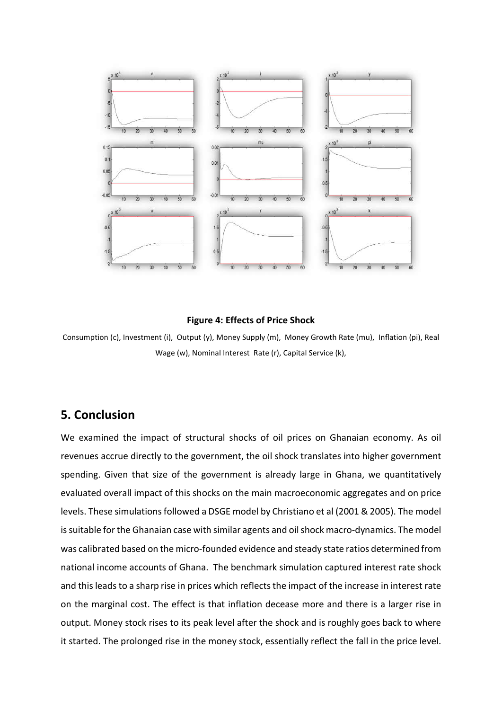

#### **Figure 4: Effects of Price Shock**

Consumption (c), Investment (i), Output (y), Money Supply (m), Money Growth Rate (mu), Inflation (pi), Real Wage (w), Nominal Interest Rate (r), Capital Service (k),

## **5. Conclusion**

We examined the impact of structural shocks of oil prices on Ghanaian economy. As oil revenues accrue directly to the government, the oil shock translates into higher government spending. Given that size of the government is already large in Ghana, we quantitatively evaluated overall impact of this shocks on the main macroeconomic aggregates and on price levels. These simulations followed a DSGE model by Christiano et al (2001 & 2005). The model is suitable for the Ghanaian case with similar agents and oil shock macro-dynamics. The model was calibrated based on the micro-founded evidence and steady state ratios determined from national income accounts of Ghana. The benchmark simulation captured interest rate shock and this leads to a sharp rise in prices which reflects the impact of the increase in interest rate on the marginal cost. The effect is that inflation decease more and there is a larger rise in output. Money stock rises to its peak level after the shock and is roughly goes back to where it started. The prolonged rise in the money stock, essentially reflect the fall in the price level.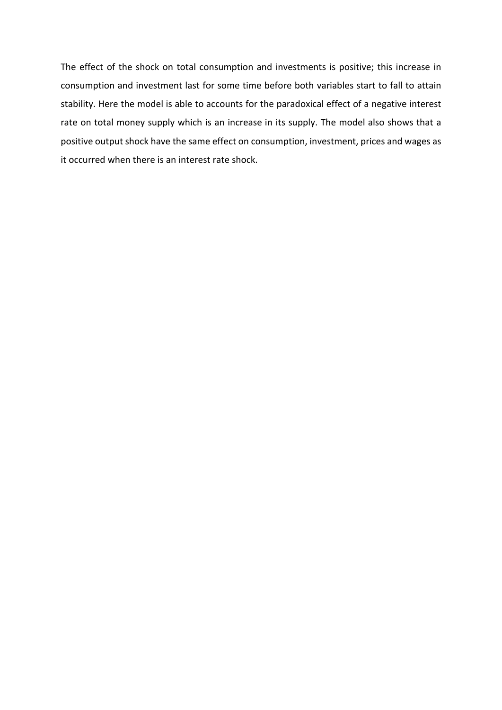The effect of the shock on total consumption and investments is positive; this increase in consumption and investment last for some time before both variables start to fall to attain stability. Here the model is able to accounts for the paradoxical effect of a negative interest rate on total money supply which is an increase in its supply. The model also shows that a positive output shock have the same effect on consumption, investment, prices and wages as it occurred when there is an interest rate shock.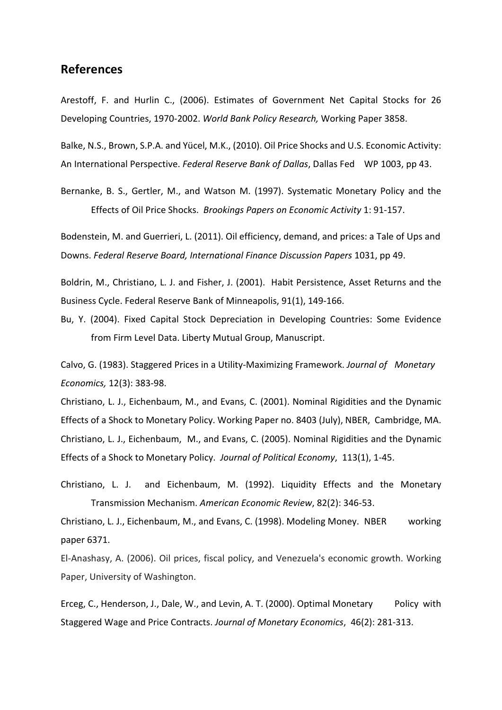## **References**

Arestoff, F. and Hurlin C., (2006). Estimates of Government Net Capital Stocks for 26 Developing Countries, 1970-2002. *World Bank Policy Research,* Working Paper 3858.

Balke, N.S., Brown, S.P.A. and Yücel, M.K., (2010). Oil Price Shocks and U.S. Economic Activity: An International Perspective. *Federal Reserve Bank of Dallas*, Dallas Fed WP 1003, pp 43.

Bernanke, B. S., Gertler, M., and Watson M. (1997). Systematic Monetary Policy and the Effects of Oil Price Shocks. *Brookings Papers on Economic Activity* 1: 91-157.

Bodenstein, M. and Guerrieri, L. (2011). Oil efficiency, demand, and prices: a Tale of Ups and Downs. *Federal Reserve Board, International Finance Discussion Papers* 1031, pp 49.

Boldrin, M., Christiano, L. J. and Fisher, J. (2001). Habit Persistence, Asset Returns and the Business Cycle. Federal Reserve Bank of Minneapolis, 91(1), 149-166.

Bu, Y. (2004). Fixed Capital Stock Depreciation in Developing Countries: Some Evidence from Firm Level Data. Liberty Mutual Group, Manuscript.

Calvo, G. (1983). Staggered Prices in a Utility-Maximizing Framework. *Journal of Monetary Economics,* 12(3): 383-98.

Christiano, L. J., Eichenbaum, M., and Evans, C. (2001). Nominal Rigidities and the Dynamic Effects of a Shock to Monetary Policy. Working Paper no. 8403 (July), NBER, Cambridge, MA. Christiano, L. J., Eichenbaum, M., and Evans, C. (2005). Nominal Rigidities and the Dynamic Effects of a Shock to Monetary Policy. *Journal of Political Economy*, 113(1), 1-45.

Christiano, L. J. and Eichenbaum, M. (1992). Liquidity Effects and the Monetary Transmission Mechanism. *American Economic Review*, 82(2): 346-53.

Christiano, L. J., Eichenbaum, M., and Evans, C. (1998). Modeling Money. NBER working paper 6371.

El-Anashasy, A. (2006). Oil prices, fiscal policy, and Venezuela's economic growth. Working Paper, University of Washington.

Erceg, C., Henderson, J., Dale, W., and Levin, A. T. (2000). Optimal Monetary Policy with Staggered Wage and Price Contracts. *Journal of Monetary Economics*, 46(2): 281-313.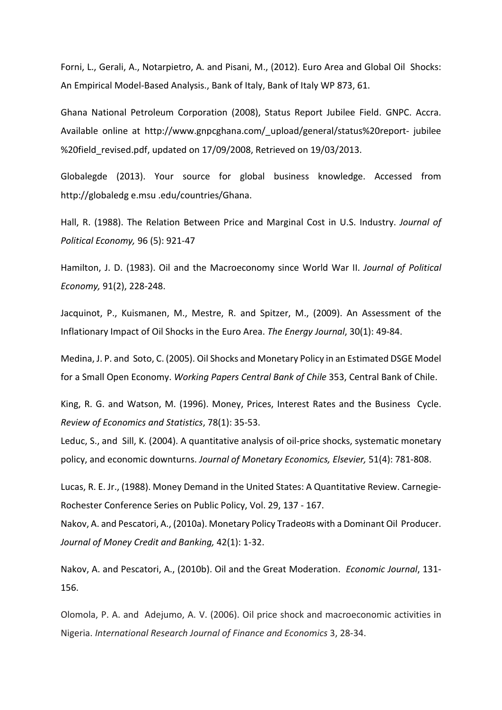Forni, L., Gerali, A., Notarpietro, A. and Pisani, M., (2012). Euro Area and Global Oil Shocks: An Empirical Model-Based Analysis., Bank of Italy, Bank of Italy WP 873, 61.

Ghana National Petroleum Corporation (2008), Status Report Jubilee Field. GNPC. Accra. Available online at http://www.gnpcghana.com/\_upload/general/status%20report- jubilee %20field\_revised.pdf, updated on 17/09/2008, Retrieved on 19/03/2013.

Globalegde (2013). Your source for global business knowledge. Accessed from http://globaledg e.msu .edu/countries/Ghana.

Hall, R. (1988). The Relation Between Price and Marginal Cost in U.S. Industry. *Journal of Political Economy,* 96 (5): 921-47

Hamilton, J. D. (1983). Oil and the Macroeconomy since World War II. *Journal of Political Economy,* 91(2), 228-248.

Jacquinot, P., Kuismanen, M., Mestre, R. and Spitzer, M., (2009). An Assessment of the Inflationary Impact of Oil Shocks in the Euro Area. *The Energy Journal*, 30(1): 49-84.

Medina, J. P. and Soto, C. (2005). Oil Shocks and Monetary Policy in an Estimated DSGE Model for a Small Open Economy. *Working Papers Central Bank of Chile* 353, Central Bank of Chile.

King, R. G. and Watson, M. (1996). Money, Prices, Interest Rates and the Business Cycle. *Review of Economics and Statistics*, 78(1): 35-53.

Leduc, S., and Sill, K. (2004). A quantitative analysis of oil-price shocks, systematic monetary policy, and economic downturns. *Journal of Monetary Economics, Elsevier,* 51(4): 781-808.

Lucas, R. E. Jr., (1988). Money Demand in the United States: A Quantitative Review. Carnegie-Rochester Conference Series on Public Policy, Vol. 29, 137 - 167.

Nakov, A. and Pescatori, A., (2010a). Monetary Policy Tradeo¤s with a Dominant Oil Producer. *Journal of Money Credit and Banking,* 42(1): 1-32.

Nakov, A. and Pescatori, A., (2010b). Oil and the Great Moderation. *Economic Journal*, 131- 156.

Olomola, P. A. and Adejumo, A. V. (2006). Oil price shock and macroeconomic activities in Nigeria. *International Research Journal of Finance and Economics* 3, 28-34.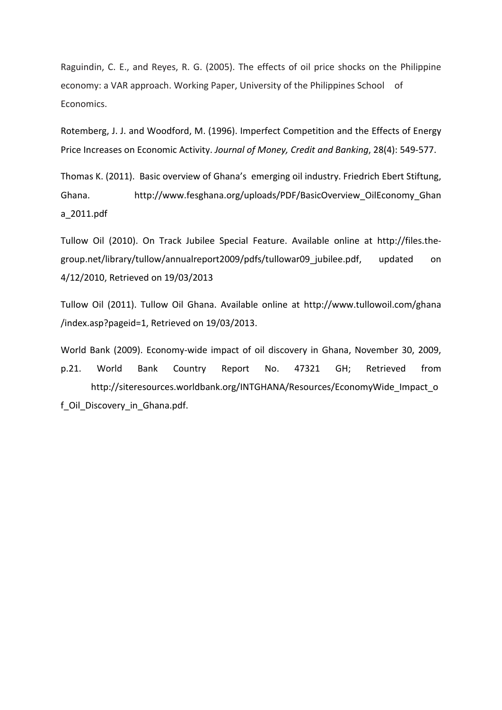Raguindin, C. E., and Reyes, R. G. (2005). The effects of oil price shocks on the Philippine economy: a VAR approach. Working Paper, University of the Philippines School of Economics.

Rotemberg, J. J. and Woodford, M. (1996). Imperfect Competition and the Effects of Energy Price Increases on Economic Activity. *Journal of Money, Credit and Banking*, 28(4): 549-577.

Thomas K. (2011). Basic overview of Ghana's emerging oil industry. Friedrich Ebert Stiftung, Ghana. http://www.fesghana.org/uploads/PDF/BasicOverview\_OilEconomy\_Ghan a\_2011.pdf

Tullow Oil (2010). On Track Jubilee Special Feature. Available online at http://files.thegroup.net/library/tullow/annualreport2009/pdfs/tullowar09 jubilee.pdf, updated on 4/12/2010, Retrieved on 19/03/2013

Tullow Oil (2011). Tullow Oil Ghana. Available online at http://www.tullowoil.com/ghana /index.asp?pageid=1, Retrieved on 19/03/2013.

World Bank (2009). Economy-wide impact of oil discovery in Ghana, November 30, 2009, p.21. World Bank Country Report No. 47321 GH; Retrieved from http://siteresources.worldbank.org/INTGHANA/Resources/EconomyWide\_Impact\_o f Oil Discovery in Ghana.pdf.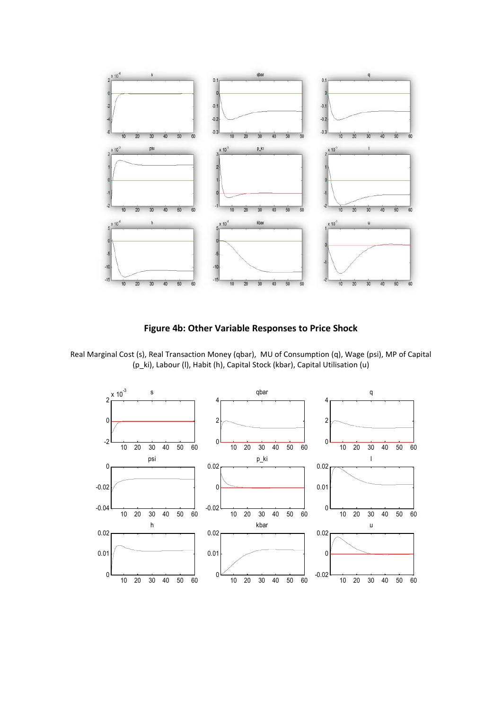

**Figure 4b: Other Variable Responses to Price Shock** 



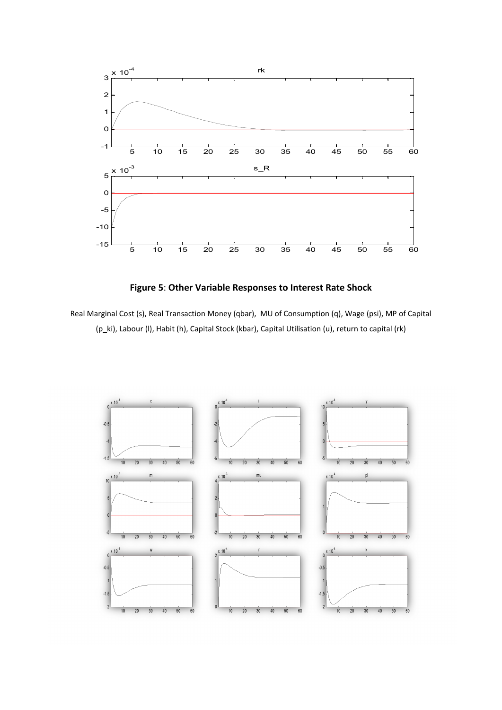

**Figure 5**: **Other Variable Responses to Interest Rate Shock** 

Real Marginal Cost (s), Real Transaction Money (qbar), MU of Consumption (q), Wage (psi), MP of Capital (p\_ki), Labour (l), Habit (h), Capital Stock (kbar), Capital Utilisation (u), return to capital (rk)

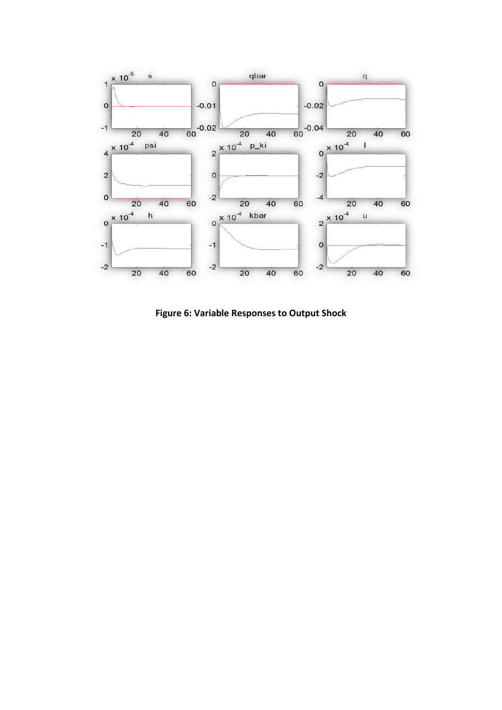

**Figure 6: Variable Responses to Output Shock**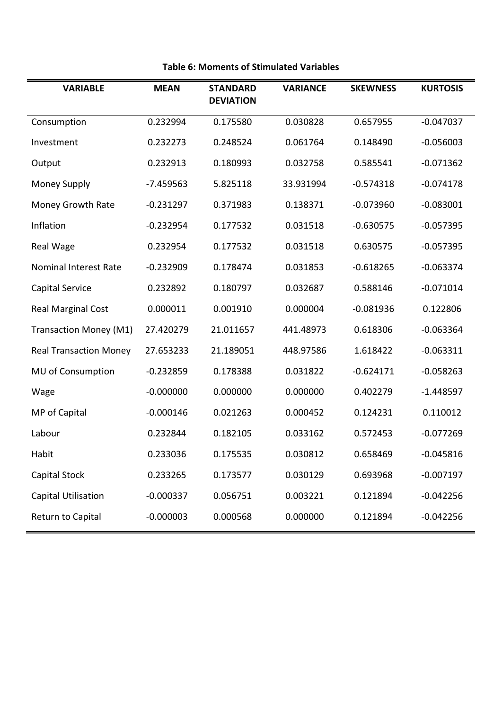| <b>VARIABLE</b>               | <b>MEAN</b> | <b>STANDARD</b><br><b>DEVIATION</b> | <b>VARIANCE</b> | <b>SKEWNESS</b> | <b>KURTOSIS</b> |
|-------------------------------|-------------|-------------------------------------|-----------------|-----------------|-----------------|
| Consumption                   | 0.232994    | 0.175580                            | 0.030828        | 0.657955        | $-0.047037$     |
| Investment                    | 0.232273    | 0.248524                            | 0.061764        | 0.148490        | $-0.056003$     |
| Output                        | 0.232913    | 0.180993                            | 0.032758        | 0.585541        | $-0.071362$     |
| Money Supply                  | -7.459563   | 5.825118                            | 33.931994       | $-0.574318$     | $-0.074178$     |
| Money Growth Rate             | $-0.231297$ | 0.371983                            | 0.138371        | $-0.073960$     | $-0.083001$     |
| Inflation                     | $-0.232954$ | 0.177532                            | 0.031518        | $-0.630575$     | $-0.057395$     |
| Real Wage                     | 0.232954    | 0.177532                            | 0.031518        | 0.630575        | $-0.057395$     |
| <b>Nominal Interest Rate</b>  | $-0.232909$ | 0.178474                            | 0.031853        | $-0.618265$     | $-0.063374$     |
| Capital Service               | 0.232892    | 0.180797                            | 0.032687        | 0.588146        | $-0.071014$     |
| <b>Real Marginal Cost</b>     | 0.000011    | 0.001910                            | 0.000004        | $-0.081936$     | 0.122806        |
| Transaction Money (M1)        | 27.420279   | 21.011657                           | 441.48973       | 0.618306        | $-0.063364$     |
| <b>Real Transaction Money</b> | 27.653233   | 21.189051                           | 448.97586       | 1.618422        | $-0.063311$     |
| MU of Consumption             | $-0.232859$ | 0.178388                            | 0.031822        | $-0.624171$     | $-0.058263$     |
| Wage                          | $-0.000000$ | 0.000000                            | 0.000000        | 0.402279        | $-1.448597$     |
| MP of Capital                 | $-0.000146$ | 0.021263                            | 0.000452        | 0.124231        | 0.110012        |
| Labour                        | 0.232844    | 0.182105                            | 0.033162        | 0.572453        | $-0.077269$     |
| Habit                         | 0.233036    | 0.175535                            | 0.030812        | 0.658469        | $-0.045816$     |
| Capital Stock                 | 0.233265    | 0.173577                            | 0.030129        | 0.693968        | $-0.007197$     |
| Capital Utilisation           | $-0.000337$ | 0.056751                            | 0.003221        | 0.121894        | $-0.042256$     |
| Return to Capital             | $-0.000003$ | 0.000568                            | 0.000000        | 0.121894        | $-0.042256$     |

## **Table 6: Moments of Stimulated Variables**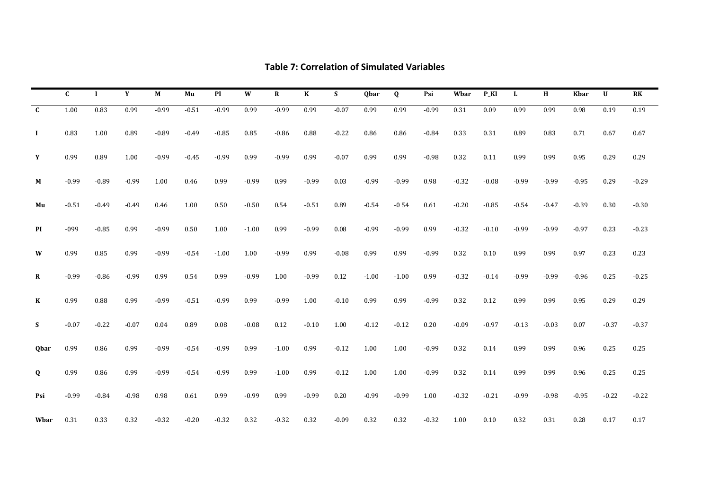|              | C       |         | Y       | M       | Mu      | PI      | W       | $\mathbf R$ | $\bf K$ | S       | <b>Obar</b> | Q       | Psi     | Wbar    | $P_KI$  | L       | H       | <b>Kbar</b> | U       | R <sub>K</sub> |
|--------------|---------|---------|---------|---------|---------|---------|---------|-------------|---------|---------|-------------|---------|---------|---------|---------|---------|---------|-------------|---------|----------------|
| $\mathbf{C}$ | 1.00    | 0.83    | 0.99    | $-0.99$ | $-0.51$ | $-0.99$ | 0.99    | $-0.99$     | 0.99    | $-0.07$ | 0.99        | 0.99    | $-0.99$ | 0.31    | 0.09    | 0.99    | 0.99    | 0.98        | 0.19    | 0.19           |
| $\bf{I}$     | 0.83    | 1.00    | 0.89    | $-0.89$ | $-0.49$ | $-0.85$ | 0.85    | $-0.86$     | 0.88    | $-0.22$ | 0.86        | 0.86    | $-0.84$ | 0.33    | 0.31    | 0.89    | 0.83    | 0.71        | 0.67    | 0.67           |
| Y            | 0.99    | 0.89    | 1.00    | $-0.99$ | $-0.45$ | $-0.99$ | 0.99    | $-0.99$     | 0.99    | $-0.07$ | 0.99        | 0.99    | $-0.98$ | 0.32    | 0.11    | 0.99    | 0.99    | 0.95        | 0.29    | 0.29           |
| М            | $-0.99$ | $-0.89$ | $-0.99$ | 1.00    | 0.46    | 0.99    | $-0.99$ | 0.99        | $-0.99$ | 0.03    | $-0.99$     | $-0.99$ | 0.98    | $-0.32$ | $-0.08$ | $-0.99$ | $-0.99$ | $-0.95$     | 0.29    | $-0.29$        |
| Mu           | $-0.51$ | $-0.49$ | $-0.49$ | 0.46    | 1.00    | 0.50    | $-0.50$ | 0.54        | $-0.51$ | 0.89    | $-0.54$     | $-0.54$ | 0.61    | $-0.20$ | $-0.85$ | $-0.54$ | $-0.47$ | $-0.39$     | 0.30    | $-0.30$        |
| PI           | $-099$  | $-0.85$ | 0.99    | $-0.99$ | 0.50    | 1.00    | $-1.00$ | 0.99        | $-0.99$ | 0.08    | $-0.99$     | $-0.99$ | 0.99    | $-0.32$ | $-0.10$ | $-0.99$ | $-0.99$ | $-0.97$     | 0.23    | $-0.23$        |
| W            | 0.99    | 0.85    | 0.99    | $-0.99$ | $-0.54$ | $-1.00$ | 1.00    | $-0.99$     | 0.99    | $-0.08$ | 0.99        | 0.99    | $-0.99$ | 0.32    | 0.10    | 0.99    | 0.99    | 0.97        | 0.23    | 0.23           |
| R            | $-0.99$ | $-0.86$ | $-0.99$ | 0.99    | 0.54    | 0.99    | $-0.99$ | 1.00        | $-0.99$ | 0.12    | $-1.00$     | $-1.00$ | 0.99    | $-0.32$ | $-0.14$ | $-0.99$ | $-0.99$ | $-0.96$     | 0.25    | $-0.25$        |
| $\bf K$      | 0.99    | 0.88    | 0.99    | $-0.99$ | $-0.51$ | $-0.99$ | 0.99    | $-0.99$     | 1.00    | $-0.10$ | 0.99        | 0.99    | $-0.99$ | 0.32    | 0.12    | 0.99    | 0.99    | 0.95        | 0.29    | 0.29           |
| S            | $-0.07$ | $-0.22$ | $-0.07$ | 0.04    | 0.89    | 0.08    | $-0.08$ | 0.12        | $-0.10$ | 1.00    | $-0.12$     | $-0.12$ | 0.20    | $-0.09$ | $-0.97$ | $-0.13$ | $-0.03$ | 0.07        | $-0.37$ | $-0.37$        |
| Qbar         | 0.99    | 0.86    | 0.99    | $-0.99$ | $-0.54$ | $-0.99$ | 0.99    | $-1.00$     | 0.99    | $-0.12$ | 1.00        | 1.00    | $-0.99$ | 0.32    | 0.14    | 0.99    | 0.99    | 0.96        | 0.25    | 0.25           |
| Q            | 0.99    | 0.86    | 0.99    | $-0.99$ | $-0.54$ | $-0.99$ | 0.99    | $-1.00$     | 0.99    | $-0.12$ | 1.00        | 1.00    | $-0.99$ | 0.32    | 0.14    | 0.99    | 0.99    | 0.96        | 0.25    | 0.25           |
| Psi          | $-0.99$ | $-0.84$ | $-0.98$ | 0.98    | 0.61    | 0.99    | $-0.99$ | 0.99        | $-0.99$ | 0.20    | $-0.99$     | $-0.99$ | 1.00    | $-0.32$ | $-0.21$ | $-0.99$ | $-0.98$ | $-0.95$     | $-0.22$ | $-0.22$        |
| Wbar         | 0.31    | 0.33    | 0.32    | $-0.32$ | $-0.20$ | $-0.32$ | 0.32    | $-0.32$     | 0.32    | $-0.09$ | 0.32        | 0.32    | $-0.32$ | 1.00    | 0.10    | 0.32    | 0.31    | 0.28        | 0.17    | 0.17           |

## **Table 7: Correlation of Simulated Variables**